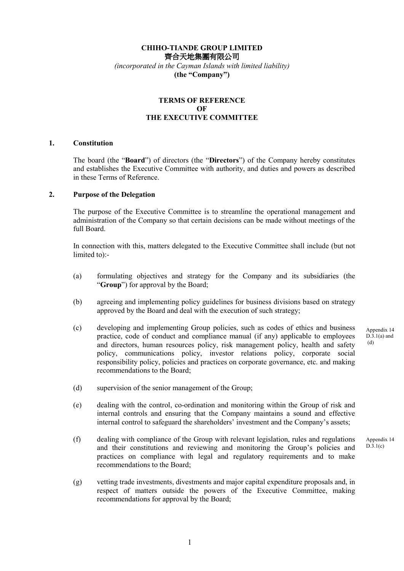# **CHIHO-TIANDE GROUP LIMITED**  齊合天地集團有限公司 *(incorporated in the Cayman Islands with limited liability)*  **(the "Company")**

## **TERMS OF REFERENCE OF THE EXECUTIVE COMMITTEE**

#### **1. Constitution**

The board (the "**Board**") of directors (the "**Directors**") of the Company hereby constitutes and establishes the Executive Committee with authority, and duties and powers as described in these Terms of Reference.

## **2. Purpose of the Delegation**

The purpose of the Executive Committee is to streamline the operational management and administration of the Company so that certain decisions can be made without meetings of the full Board.

In connection with this, matters delegated to the Executive Committee shall include (but not limited to):-

- (a) formulating objectives and strategy for the Company and its subsidiaries (the "**Group**") for approval by the Board;
- (b) agreeing and implementing policy guidelines for business divisions based on strategy approved by the Board and deal with the execution of such strategy;
- (c) developing and implementing Group policies, such as codes of ethics and business practice, code of conduct and compliance manual (if any) applicable to employees and directors, human resources policy, risk management policy, health and safety policy, communications policy, investor relations policy, corporate social responsibility policy, policies and practices on corporate governance, etc. and making recommendations to the Board;
- (d) supervision of the senior management of the Group;
- (e) dealing with the control, co-ordination and monitoring within the Group of risk and internal controls and ensuring that the Company maintains a sound and effective internal control to safeguard the shareholders' investment and the Company's assets;
- (f) dealing with compliance of the Group with relevant legislation, rules and regulations and their constitutions and reviewing and monitoring the Group's policies and practices on compliance with legal and regulatory requirements and to make recommendations to the Board; Appendix 14  $D.3.1(c)$
- (g) vetting trade investments, divestments and major capital expenditure proposals and, in respect of matters outside the powers of the Executive Committee, making recommendations for approval by the Board;

Appendix 14  $\overline{D.3}.1(a)$  and (d)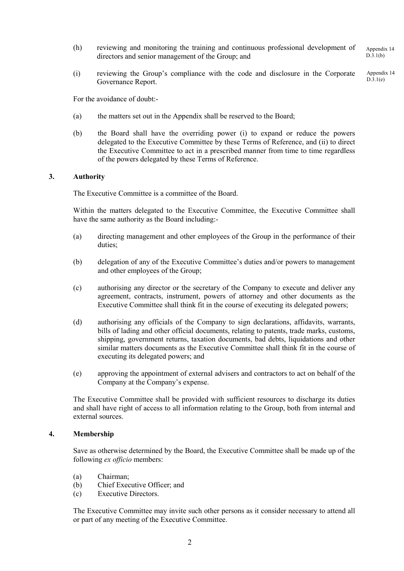- (h) reviewing and monitoring the training and continuous professional development of directors and senior management of the Group; and Appendix 14  $\overline{D.3}.1(b)$
- (i) reviewing the Group's compliance with the code and disclosure in the Corporate Governance Report. Appendix 14  $D.3.1(e)$

For the avoidance of doubt:-

- (a) the matters set out in the Appendix shall be reserved to the Board;
- (b) the Board shall have the overriding power (i) to expand or reduce the powers delegated to the Executive Committee by these Terms of Reference, and (ii) to direct the Executive Committee to act in a prescribed manner from time to time regardless of the powers delegated by these Terms of Reference.

## **3. Authority**

The Executive Committee is a committee of the Board.

Within the matters delegated to the Executive Committee, the Executive Committee shall have the same authority as the Board including:-

- (a) directing management and other employees of the Group in the performance of their duties;
- (b) delegation of any of the Executive Committee's duties and/or powers to management and other employees of the Group;
- (c) authorising any director or the secretary of the Company to execute and deliver any agreement, contracts, instrument, powers of attorney and other documents as the Executive Committee shall think fit in the course of executing its delegated powers;
- (d) authorising any officials of the Company to sign declarations, affidavits, warrants, bills of lading and other official documents, relating to patents, trade marks, customs, shipping, government returns, taxation documents, bad debts, liquidations and other similar matters documents as the Executive Committee shall think fit in the course of executing its delegated powers; and
- (e) approving the appointment of external advisers and contractors to act on behalf of the Company at the Company's expense.

The Executive Committee shall be provided with sufficient resources to discharge its duties and shall have right of access to all information relating to the Group, both from internal and external sources.

## **4. Membership**

Save as otherwise determined by the Board, the Executive Committee shall be made up of the following *ex officio* members:

- (a) Chairman;
- (b) Chief Executive Officer; and
- (c) Executive Directors.

The Executive Committee may invite such other persons as it consider necessary to attend all or part of any meeting of the Executive Committee.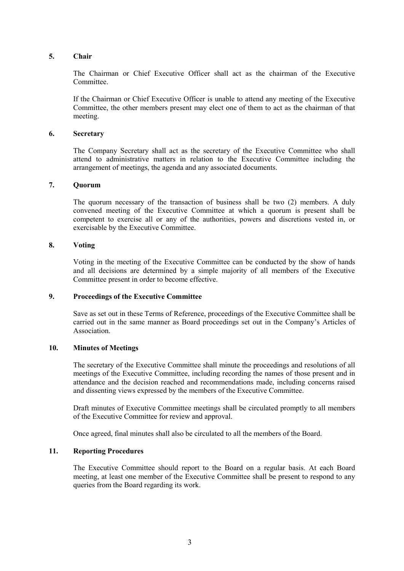# **5. Chair**

The Chairman or Chief Executive Officer shall act as the chairman of the Executive Committee.

If the Chairman or Chief Executive Officer is unable to attend any meeting of the Executive Committee, the other members present may elect one of them to act as the chairman of that meeting.

## **6. Secretary**

The Company Secretary shall act as the secretary of the Executive Committee who shall attend to administrative matters in relation to the Executive Committee including the arrangement of meetings, the agenda and any associated documents.

## **7. Quorum**

The quorum necessary of the transaction of business shall be two (2) members. A duly convened meeting of the Executive Committee at which a quorum is present shall be competent to exercise all or any of the authorities, powers and discretions vested in, or exercisable by the Executive Committee.

#### **8. Voting**

Voting in the meeting of the Executive Committee can be conducted by the show of hands and all decisions are determined by a simple majority of all members of the Executive Committee present in order to become effective.

## **9. Proceedings of the Executive Committee**

Save as set out in these Terms of Reference, proceedings of the Executive Committee shall be carried out in the same manner as Board proceedings set out in the Company's Articles of Association.

## **10. Minutes of Meetings**

The secretary of the Executive Committee shall minute the proceedings and resolutions of all meetings of the Executive Committee, including recording the names of those present and in attendance and the decision reached and recommendations made, including concerns raised and dissenting views expressed by the members of the Executive Committee.

Draft minutes of Executive Committee meetings shall be circulated promptly to all members of the Executive Committee for review and approval.

Once agreed, final minutes shall also be circulated to all the members of the Board.

## **11. Reporting Procedures**

The Executive Committee should report to the Board on a regular basis. At each Board meeting, at least one member of the Executive Committee shall be present to respond to any queries from the Board regarding its work.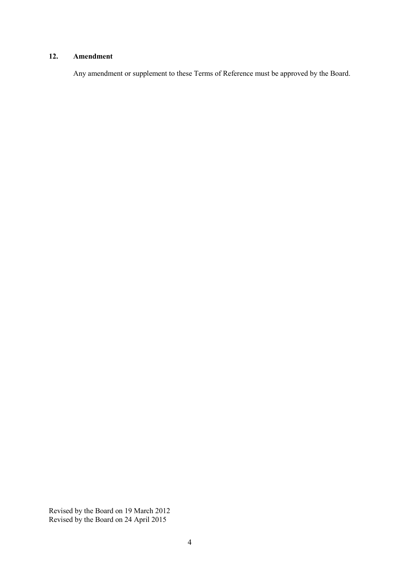# **12. Amendment**

Any amendment or supplement to these Terms of Reference must be approved by the Board.

Revised by the Board on 19 March 2012 Revised by the Board on 24 April 2015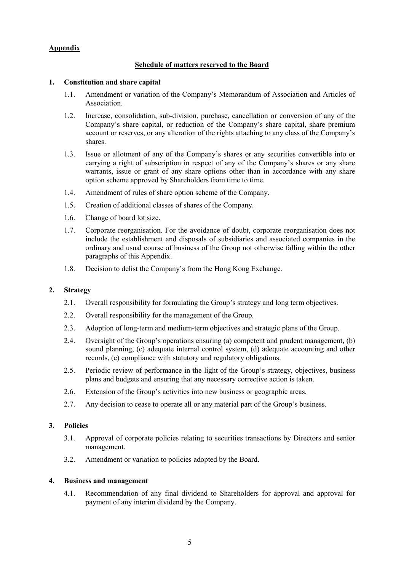# **Appendix**

## **Schedule of matters reserved to the Board**

## **1. Constitution and share capital**

- 1.1. Amendment or variation of the Company's Memorandum of Association and Articles of **Association**
- 1.2. Increase, consolidation, sub-division, purchase, cancellation or conversion of any of the Company's share capital, or reduction of the Company's share capital, share premium account or reserves, or any alteration of the rights attaching to any class of the Company's shares.
- 1.3. Issue or allotment of any of the Company's shares or any securities convertible into or carrying a right of subscription in respect of any of the Company's shares or any share warrants, issue or grant of any share options other than in accordance with any share option scheme approved by Shareholders from time to time.
- 1.4. Amendment of rules of share option scheme of the Company.
- 1.5. Creation of additional classes of shares of the Company.
- 1.6. Change of board lot size.
- 1.7. Corporate reorganisation. For the avoidance of doubt, corporate reorganisation does not include the establishment and disposals of subsidiaries and associated companies in the ordinary and usual course of business of the Group not otherwise falling within the other paragraphs of this Appendix.
- 1.8. Decision to delist the Company's from the Hong Kong Exchange.

## **2. Strategy**

- 2.1. Overall responsibility for formulating the Group's strategy and long term objectives.
- 2.2. Overall responsibility for the management of the Group.
- 2.3. Adoption of long-term and medium-term objectives and strategic plans of the Group.
- 2.4. Oversight of the Group's operations ensuring (a) competent and prudent management, (b) sound planning, (c) adequate internal control system, (d) adequate accounting and other records, (e) compliance with statutory and regulatory obligations.
- 2.5. Periodic review of performance in the light of the Group's strategy, objectives, business plans and budgets and ensuring that any necessary corrective action is taken.
- 2.6. Extension of the Group's activities into new business or geographic areas.
- 2.7. Any decision to cease to operate all or any material part of the Group's business.

## **3. Policies**

- 3.1. Approval of corporate policies relating to securities transactions by Directors and senior management.
- 3.2. Amendment or variation to policies adopted by the Board.

#### **4. Business and management**

4.1. Recommendation of any final dividend to Shareholders for approval and approval for payment of any interim dividend by the Company.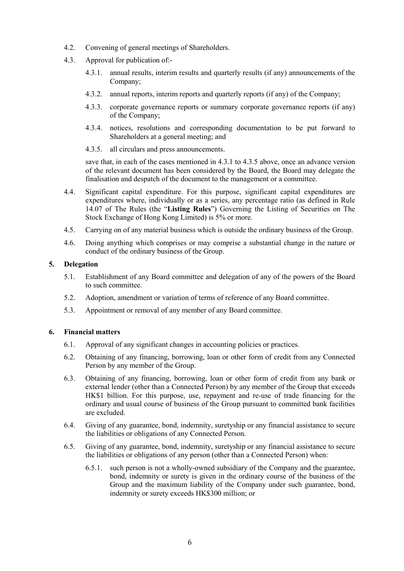- 4.2. Convening of general meetings of Shareholders.
- 4.3. Approval for publication of:-
	- 4.3.1. annual results, interim results and quarterly results (if any) announcements of the Company;
	- 4.3.2. annual reports, interim reports and quarterly reports (if any) of the Company;
	- 4.3.3. corporate governance reports or summary corporate governance reports (if any) of the Company;
	- 4.3.4. notices, resolutions and corresponding documentation to be put forward to Shareholders at a general meeting; and
	- 4.3.5. all circulars and press announcements.

save that, in each of the cases mentioned in 4.3.1 to 4.3.5 above, once an advance version of the relevant document has been considered by the Board, the Board may delegate the finalisation and despatch of the document to the management or a committee.

- 4.4. Significant capital expenditure. For this purpose, significant capital expenditures are expenditures where, individually or as a series, any percentage ratio (as defined in Rule 14.07 of The Rules (the "**Listing Rules**") Governing the Listing of Securities on The Stock Exchange of Hong Kong Limited) is 5% or more.
- 4.5. Carrying on of any material business which is outside the ordinary business of the Group.
- 4.6. Doing anything which comprises or may comprise a substantial change in the nature or conduct of the ordinary business of the Group.

# **5. Delegation**

- 5.1. Establishment of any Board committee and delegation of any of the powers of the Board to such committee.
- 5.2. Adoption, amendment or variation of terms of reference of any Board committee.
- 5.3. Appointment or removal of any member of any Board committee.

# **6. Financial matters**

- 6.1. Approval of any significant changes in accounting policies or practices.
- 6.2. Obtaining of any financing, borrowing, loan or other form of credit from any Connected Person by any member of the Group.
- 6.3. Obtaining of any financing, borrowing, loan or other form of credit from any bank or external lender (other than a Connected Person) by any member of the Group that exceeds HK\$1 billion. For this purpose, use, repayment and re-use of trade financing for the ordinary and usual course of business of the Group pursuant to committed bank facilities are excluded.
- 6.4. Giving of any guarantee, bond, indemnity, suretyship or any financial assistance to secure the liabilities or obligations of any Connected Person.
- 6.5. Giving of any guarantee, bond, indemnity, suretyship or any financial assistance to secure the liabilities or obligations of any person (other than a Connected Person) when:
	- 6.5.1. such person is not a wholly-owned subsidiary of the Company and the guarantee, bond, indemnity or surety is given in the ordinary course of the business of the Group and the maximum liability of the Company under such guarantee, bond, indemnity or surety exceeds HK\$300 million; or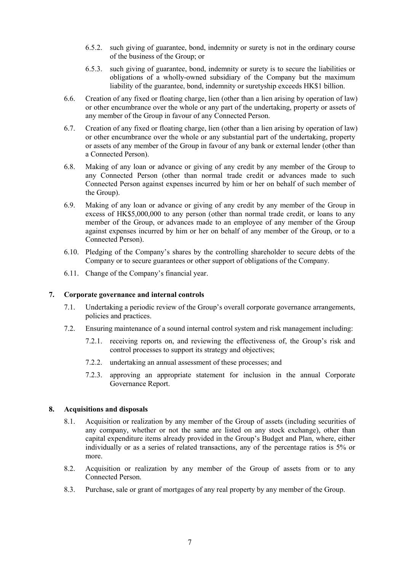- 6.5.2. such giving of guarantee, bond, indemnity or surety is not in the ordinary course of the business of the Group; or
- 6.5.3. such giving of guarantee, bond, indemnity or surety is to secure the liabilities or obligations of a wholly-owned subsidiary of the Company but the maximum liability of the guarantee, bond, indemnity or suretyship exceeds HK\$1 billion.
- 6.6. Creation of any fixed or floating charge, lien (other than a lien arising by operation of law) or other encumbrance over the whole or any part of the undertaking, property or assets of any member of the Group in favour of any Connected Person.
- 6.7. Creation of any fixed or floating charge, lien (other than a lien arising by operation of law) or other encumbrance over the whole or any substantial part of the undertaking, property or assets of any member of the Group in favour of any bank or external lender (other than a Connected Person).
- 6.8. Making of any loan or advance or giving of any credit by any member of the Group to any Connected Person (other than normal trade credit or advances made to such Connected Person against expenses incurred by him or her on behalf of such member of the Group).
- 6.9. Making of any loan or advance or giving of any credit by any member of the Group in excess of HK\$5,000,000 to any person (other than normal trade credit, or loans to any member of the Group, or advances made to an employee of any member of the Group against expenses incurred by him or her on behalf of any member of the Group, or to a Connected Person).
- 6.10. Pledging of the Company's shares by the controlling shareholder to secure debts of the Company or to secure guarantees or other support of obligations of the Company.
- 6.11. Change of the Company's financial year.

## **7. Corporate governance and internal controls**

- 7.1. Undertaking a periodic review of the Group's overall corporate governance arrangements, policies and practices.
- 7.2. Ensuring maintenance of a sound internal control system and risk management including:
	- 7.2.1. receiving reports on, and reviewing the effectiveness of, the Group's risk and control processes to support its strategy and objectives;
	- 7.2.2. undertaking an annual assessment of these processes; and
	- 7.2.3. approving an appropriate statement for inclusion in the annual Corporate Governance Report.

#### **8. Acquisitions and disposals**

- 8.1. Acquisition or realization by any member of the Group of assets (including securities of any company, whether or not the same are listed on any stock exchange), other than capital expenditure items already provided in the Group's Budget and Plan, where, either individually or as a series of related transactions, any of the percentage ratios is 5% or more.
- 8.2. Acquisition or realization by any member of the Group of assets from or to any Connected Person.
- 8.3. Purchase, sale or grant of mortgages of any real property by any member of the Group.